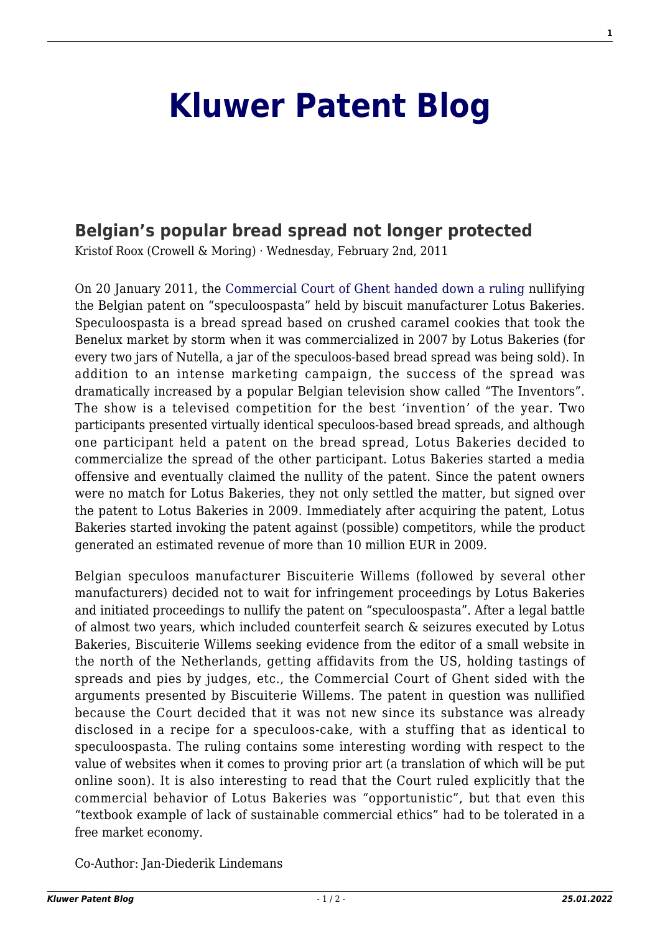## **[Kluwer Patent Blog](http://patentblog.kluweriplaw.com/)**

## **[Belgian's popular bread spread not longer protected](http://patentblog.kluweriplaw.com/2011/02/02/belgians-popular-bread-spread-not-longer-protected/)**

Kristof Roox (Crowell & Moring) · Wednesday, February 2nd, 2011

On 20 January 2011, the [Commercial Court of Ghent handed down a ruling](http://patentblog.kluweriplaw.com/wp-content/uploads/sites/52/2011/02/11-01-20-vonnis-Kh-Gent_A-09-02830-c.pdf) nullifying the Belgian patent on "speculoospasta" held by biscuit manufacturer Lotus Bakeries. Speculoospasta is a bread spread based on crushed caramel cookies that took the Benelux market by storm when it was commercialized in 2007 by Lotus Bakeries (for every two jars of Nutella, a jar of the speculoos-based bread spread was being sold). In addition to an intense marketing campaign, the success of the spread was dramatically increased by a popular Belgian television show called "The Inventors". The show is a televised competition for the best 'invention' of the year. Two participants presented virtually identical speculoos-based bread spreads, and although one participant held a patent on the bread spread, Lotus Bakeries decided to commercialize the spread of the other participant. Lotus Bakeries started a media offensive and eventually claimed the nullity of the patent. Since the patent owners were no match for Lotus Bakeries, they not only settled the matter, but signed over the patent to Lotus Bakeries in 2009. Immediately after acquiring the patent, Lotus Bakeries started invoking the patent against (possible) competitors, while the product generated an estimated revenue of more than 10 million EUR in 2009.

Belgian speculoos manufacturer Biscuiterie Willems (followed by several other manufacturers) decided not to wait for infringement proceedings by Lotus Bakeries and initiated proceedings to nullify the patent on "speculoospasta". After a legal battle of almost two years, which included counterfeit search & seizures executed by Lotus Bakeries, Biscuiterie Willems seeking evidence from the editor of a small website in the north of the Netherlands, getting affidavits from the US, holding tastings of spreads and pies by judges, etc., the Commercial Court of Ghent sided with the arguments presented by Biscuiterie Willems. The patent in question was nullified because the Court decided that it was not new since its substance was already disclosed in a recipe for a speculoos-cake, with a stuffing that as identical to speculoospasta. The ruling contains some interesting wording with respect to the value of websites when it comes to proving prior art (a translation of which will be put online soon). It is also interesting to read that the Court ruled explicitly that the commercial behavior of Lotus Bakeries was "opportunistic", but that even this "textbook example of lack of sustainable commercial ethics" had to be tolerated in a free market economy.

Co-Author: Jan-Diederik Lindemans